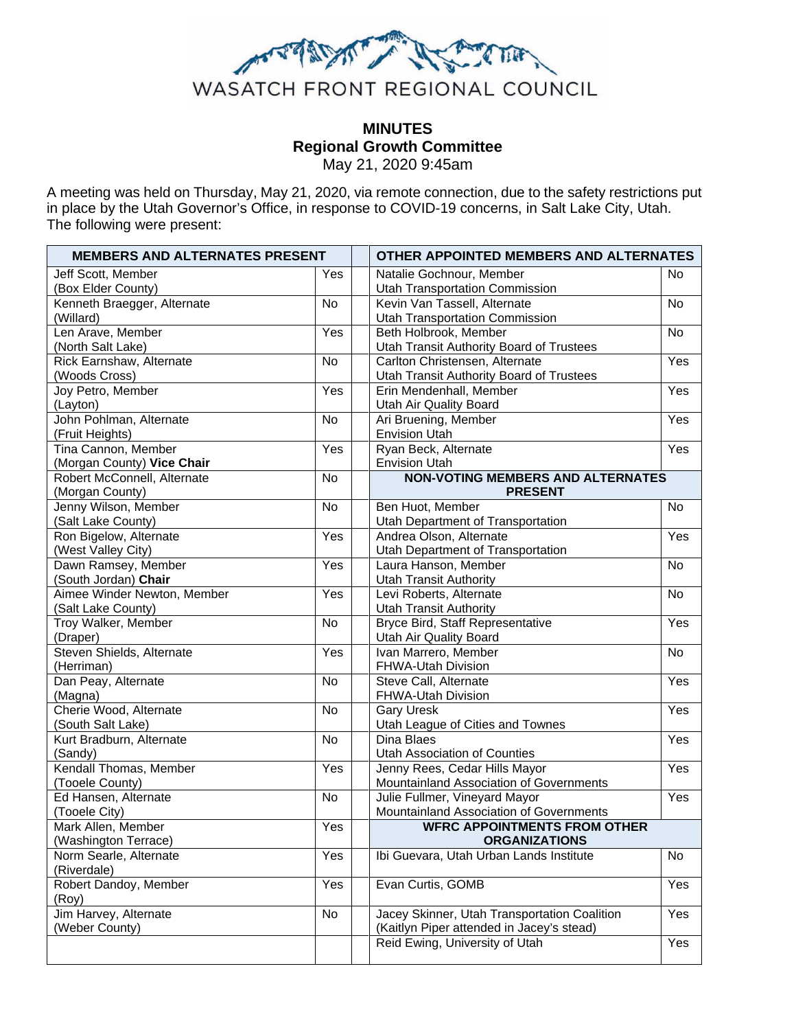

# **MINUTES Regional Growth Committee**  May 21, 2020 9:45am

A meeting was held on Thursday, May 21, 2020, via remote connection, due to the safety restrictions put in place by the Utah Governor's Office, in response to COVID-19 concerns, in Salt Lake City, Utah. The following were present:

| <b>MEMBERS AND ALTERNATES PRESENT</b>   |           | OTHER APPOINTED MEMBERS AND ALTERNATES |                                                                             |           |
|-----------------------------------------|-----------|----------------------------------------|-----------------------------------------------------------------------------|-----------|
| Jeff Scott, Member                      | Yes       |                                        | Natalie Gochnour, Member                                                    | <b>No</b> |
| (Box Elder County)                      |           |                                        | <b>Utah Transportation Commission</b>                                       |           |
| Kenneth Braegger, Alternate             | <b>No</b> |                                        | Kevin Van Tassell, Alternate                                                | <b>No</b> |
| (Willard)                               |           |                                        | <b>Utah Transportation Commission</b>                                       |           |
| Len Arave, Member                       | Yes       |                                        | Beth Holbrook, Member                                                       | <b>No</b> |
| (North Salt Lake)                       |           |                                        | Utah Transit Authority Board of Trustees                                    |           |
| Rick Earnshaw, Alternate                | No        |                                        | Carlton Christensen, Alternate                                              | Yes       |
| (Woods Cross)                           |           |                                        | Utah Transit Authority Board of Trustees                                    |           |
| Joy Petro, Member                       | Yes       |                                        | Erin Mendenhall, Member                                                     | Yes       |
| (Layton)                                |           |                                        | Utah Air Quality Board                                                      |           |
| John Pohlman, Alternate                 | No        |                                        | Ari Bruening, Member                                                        | Yes       |
| (Fruit Heights)                         |           |                                        | <b>Envision Utah</b>                                                        |           |
| Tina Cannon, Member                     | Yes       |                                        | Ryan Beck, Alternate                                                        | Yes       |
| (Morgan County) Vice Chair              |           |                                        | <b>Envision Utah</b>                                                        |           |
| Robert McConnell, Alternate             | <b>No</b> |                                        | <b>NON-VOTING MEMBERS AND ALTERNATES</b>                                    |           |
| (Morgan County)<br>Jenny Wilson, Member | <b>No</b> |                                        | <b>PRESENT</b><br>Ben Huot, Member                                          | No        |
| (Salt Lake County)                      |           |                                        | Utah Department of Transportation                                           |           |
| Ron Bigelow, Alternate                  | Yes       |                                        | Andrea Olson, Alternate                                                     | Yes       |
| (West Valley City)                      |           |                                        | Utah Department of Transportation                                           |           |
| Dawn Ramsey, Member                     | Yes       |                                        | Laura Hanson, Member                                                        | No        |
| (South Jordan) Chair                    |           |                                        | <b>Utah Transit Authority</b>                                               |           |
| Aimee Winder Newton, Member             | Yes       |                                        | Levi Roberts, Alternate                                                     | No        |
| (Salt Lake County)                      |           |                                        | <b>Utah Transit Authority</b>                                               |           |
| Troy Walker, Member                     | <b>No</b> |                                        | Bryce Bird, Staff Representative                                            | Yes       |
| (Draper)                                |           |                                        | Utah Air Quality Board                                                      |           |
| Steven Shields, Alternate               | Yes       |                                        | Ivan Marrero, Member                                                        | No        |
| (Herriman)                              |           |                                        | FHWA-Utah Division                                                          |           |
| Dan Peay, Alternate                     | No        |                                        | Steve Call, Alternate                                                       | Yes       |
| (Magna)                                 |           |                                        | FHWA-Utah Division                                                          |           |
| Cherie Wood, Alternate                  | No        |                                        | <b>Gary Uresk</b>                                                           | Yes       |
| (South Salt Lake)                       |           |                                        | Utah League of Cities and Townes                                            |           |
| Kurt Bradburn, Alternate                | No        |                                        | Dina Blaes                                                                  | Yes       |
| (Sandy)                                 |           |                                        | Utah Association of Counties                                                |           |
| Kendall Thomas, Member                  | Yes       |                                        | Jenny Rees, Cedar Hills Mayor                                               | Yes       |
| (Tooele County)                         |           |                                        | Mountainland Association of Governments                                     |           |
| Ed Hansen, Alternate                    | <b>No</b> |                                        | Julie Fullmer, Vineyard Mayor                                               | Yes       |
| (Tooele City)                           |           |                                        | Mountainland Association of Governments                                     |           |
| Mark Allen, Member                      | Yes       |                                        | <b>WFRC APPOINTMENTS FROM OTHER</b>                                         |           |
| (Washington Terrace)                    |           |                                        | <b>ORGANIZATIONS</b>                                                        |           |
| Norm Searle, Alternate                  | Yes       |                                        | Ibi Guevara, Utah Urban Lands Institute                                     | No        |
| (Riverdale)                             |           |                                        |                                                                             |           |
| Robert Dandoy, Member                   | Yes       |                                        | Evan Curtis, GOMB                                                           | Yes       |
| (Roy)                                   |           |                                        |                                                                             |           |
| Jim Harvey, Alternate                   | No        |                                        | Jacey Skinner, Utah Transportation Coalition                                | Yes       |
| (Weber County)                          |           |                                        | (Kaitlyn Piper attended in Jacey's stead)<br>Reid Ewing, University of Utah | Yes       |
|                                         |           |                                        |                                                                             |           |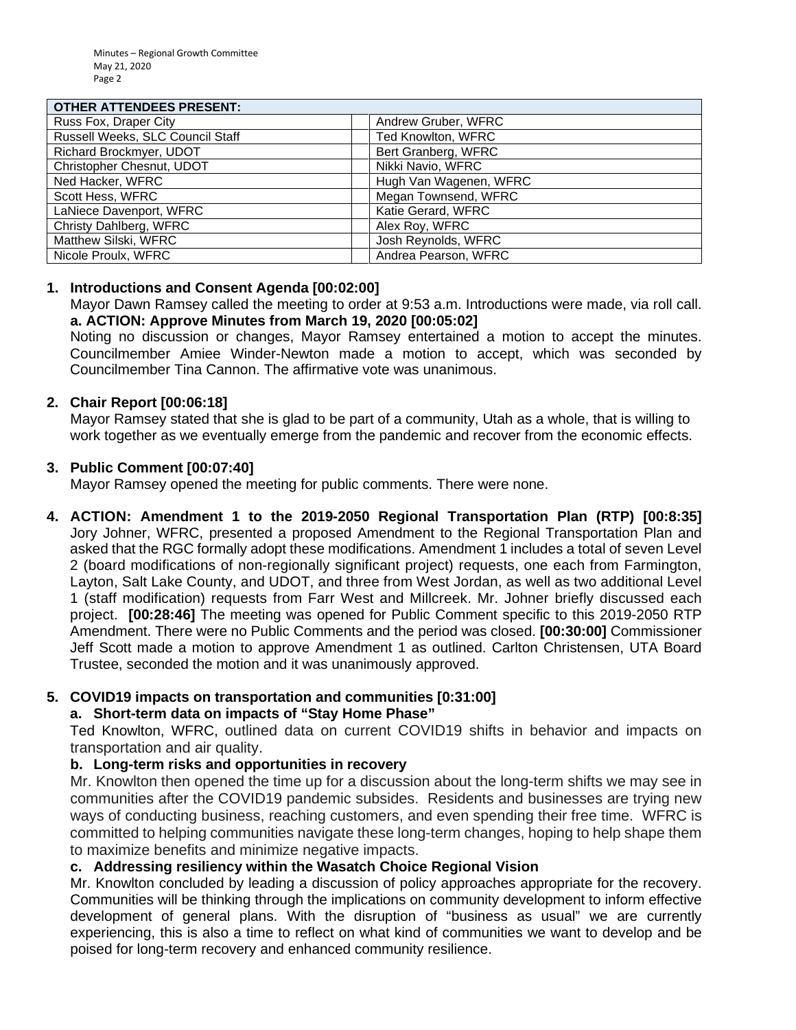#### **OTHER ATTENDEES PRESENT:**

| <u>UTILILAT I ENDEEUT INEUENT.</u> |                        |  |  |
|------------------------------------|------------------------|--|--|
| Russ Fox, Draper City              | Andrew Gruber, WFRC    |  |  |
| Russell Weeks, SLC Council Staff   | Ted Knowlton, WFRC     |  |  |
| Richard Brockmyer, UDOT            | Bert Granberg, WFRC    |  |  |
| Christopher Chesnut, UDOT          | Nikki Navio, WFRC      |  |  |
| Ned Hacker, WFRC                   | Hugh Van Wagenen, WFRC |  |  |
| Scott Hess, WFRC                   | Megan Townsend, WFRC   |  |  |
| LaNiece Davenport, WFRC            | Katie Gerard, WFRC     |  |  |
| Christy Dahlberg, WFRC             | Alex Roy, WFRC         |  |  |
| Matthew Silski, WFRC               | Josh Reynolds, WFRC    |  |  |
| Nicole Proulx, WFRC                | Andrea Pearson, WFRC   |  |  |

### **1. Introductions and Consent Agenda [00:02:00]**

Mayor Dawn Ramsey called the meeting to order at 9:53 a.m. Introductions were made, via roll call. **a. ACTION: Approve Minutes from March 19, 2020 [00:05:02]**

Noting no discussion or changes, Mayor Ramsey entertained a motion to accept the minutes. Councilmember Amiee Winder-Newton made a motion to accept, which was seconded by Councilmember Tina Cannon. The affirmative vote was unanimous.

### **2. Chair Report [00:06:18]**

Mayor Ramsey stated that she is glad to be part of a community, Utah as a whole, that is willing to work together as we eventually emerge from the pandemic and recover from the economic effects.

### **3. Public Comment [00:07:40]**

Mayor Ramsey opened the meeting for public comments. There were none.

**4. ACTION: Amendment 1 to the 2019-2050 Regional Transportation Plan (RTP) [00:8:35]** Jory Johner, WFRC, presented a proposed Amendment to the Regional Transportation Plan and asked that the RGC formally adopt these modifications. Amendment 1 includes a total of seven Level 2 (board modifications of non-regionally significant project) requests, one each from Farmington, Layton, Salt Lake County, and UDOT, and three from West Jordan, as well as two additional Level 1 (staff modification) requests from Farr West and Millcreek. Mr. Johner briefly discussed each project. **[00:28:46]** The meeting was opened for Public Comment specific to this 2019-2050 RTP Amendment. There were no Public Comments and the period was closed. **[00:30:00]** Commissioner Jeff Scott made a motion to approve Amendment 1 as outlined. Carlton Christensen, UTA Board Trustee, seconded the motion and it was unanimously approved.

# **5. COVID19 impacts on transportation and communities [0:31:00]**

# **a. Short-term data on impacts of "Stay Home Phase"**

Ted Knowlton, WFRC, outlined data on current COVID19 shifts in behavior and impacts on transportation and air quality.

# **b. Long-term risks and opportunities in recovery**

Mr. Knowlton then opened the time up for a discussion about the long-term shifts we may see in communities after the COVID19 pandemic subsides. Residents and businesses are trying new ways of conducting business, reaching customers, and even spending their free time. WFRC is committed to helping communities navigate these long-term changes, hoping to help shape them to maximize benefits and minimize negative impacts.

# **c. Addressing resiliency within the Wasatch Choice Regional Vision**

Mr. Knowlton concluded by leading a discussion of policy approaches appropriate for the recovery. Communities will be thinking through the implications on community development to inform effective development of general plans. With the disruption of "business as usual" we are currently experiencing, this is also a time to reflect on what kind of communities we want to develop and be poised for long-term recovery and enhanced community resilience.